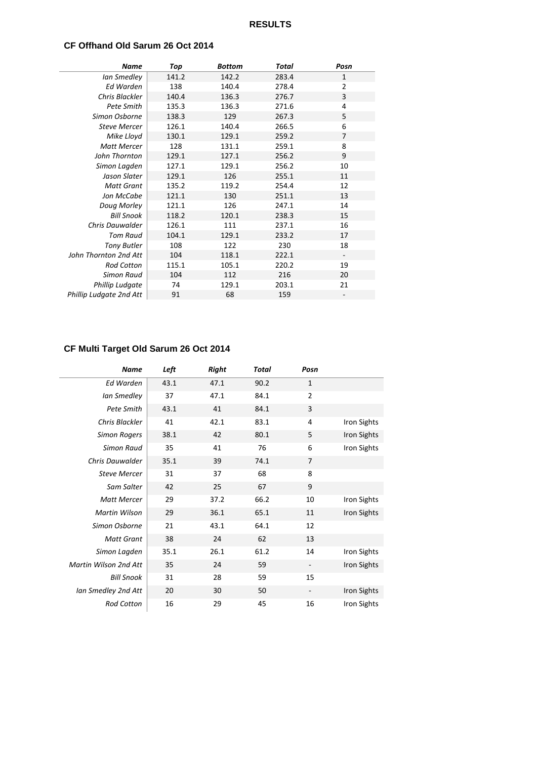### **CF Offhand Old Sarum 26 Oct 2014**

| <b>Name</b>             | Top   | <b>Bottom</b> | Total | Posn           |
|-------------------------|-------|---------------|-------|----------------|
| Ian Smedley             | 141.2 | 142.2         | 283.4 | 1              |
| Ed Warden               | 138   | 140.4         | 278.4 | $\overline{2}$ |
| Chris Blackler          | 140.4 | 136.3         | 276.7 | $\overline{3}$ |
| Pete Smith              | 135.3 | 136.3         | 271.6 | 4              |
| Simon Osborne           | 138.3 | 129           | 267.3 | 5              |
| <b>Steve Mercer</b>     | 126.1 | 140.4         | 266.5 | 6              |
| Mike Lloyd              | 130.1 | 129.1         | 259.2 | 7              |
| <b>Matt Mercer</b>      | 128   | 131.1         | 259.1 | 8              |
| John Thornton           | 129.1 | 127.1         | 256.2 | 9              |
| Simon Lagden            | 127.1 | 129.1         | 256.2 | 10             |
| Jason Slater            | 129.1 | 126           | 255.1 | 11             |
| <b>Matt Grant</b>       | 135.2 | 119.2         | 254.4 | 12             |
| Jon McCabe              | 121.1 | 130           | 251.1 | 13             |
| Doug Morley             | 121.1 | 126           | 247.1 | 14             |
| <b>Bill Snook</b>       | 118.2 | 120.1         | 238.3 | 15             |
| Chris Dauwalder         | 126.1 | 111           | 237.1 | 16             |
| Tom Raud                | 104.1 | 129.1         | 233.2 | 17             |
| <b>Tony Butler</b>      | 108   | 122           | 230   | 18             |
| John Thornton 2nd Att   | 104   | 118.1         | 222.1 |                |
| <b>Rod Cotton</b>       | 115.1 | 105.1         | 220.2 | 19             |
| Simon Raud              | 104   | 112           | 216   | 20             |
| Phillip Ludgate         | 74    | 129.1         | 203.1 | 21             |
| Phillip Ludgate 2nd Att | 91    | 68            | 159   |                |

# **CF Multi Target Old Sarum 26 Oct 2014**

| <b>Name</b>           | Left | <b>Right</b> | Total | Posn           |                    |
|-----------------------|------|--------------|-------|----------------|--------------------|
| Ed Warden             | 43.1 | 47.1         | 90.2  | 1              |                    |
| Ian Smedley           | 37   | 47.1         | 84.1  | $\overline{2}$ |                    |
| Pete Smith            | 43.1 | 41           | 84.1  | 3              |                    |
| Chris Blackler        | 41   | 42.1         | 83.1  | 4              | Iron Sights        |
| <b>Simon Rogers</b>   | 38.1 | 42           | 80.1  | 5              | <b>Iron Sights</b> |
| Simon Raud            | 35   | 41           | 76    | 6              | <b>Iron Sights</b> |
| Chris Dauwalder       | 35.1 | 39           | 74.1  | 7              |                    |
| <b>Steve Mercer</b>   | 31   | 37           | 68    | 8              |                    |
| Sam Salter            | 42   | 25           | 67    | 9              |                    |
| <b>Matt Mercer</b>    | 29   | 37.2         | 66.2  | 10             | Iron Sights        |
| <b>Martin Wilson</b>  | 29   | 36.1         | 65.1  | 11             | <b>Iron Sights</b> |
| Simon Osborne         | 21   | 43.1         | 64.1  | 12             |                    |
| <b>Matt Grant</b>     | 38   | 24           | 62    | 13             |                    |
| Simon Lagden          | 35.1 | 26.1         | 61.2  | 14             | Iron Sights        |
| Martin Wilson 2nd Att | 35   | 24           | 59    |                | Iron Sights        |
| <b>Bill Snook</b>     | 31   | 28           | 59    | 15             |                    |
| Ian Smedley 2nd Att   | 20   | 30           | 50    |                | <b>Iron Sights</b> |
| <b>Rod Cotton</b>     | 16   | 29           | 45    | 16             | <b>Iron Sights</b> |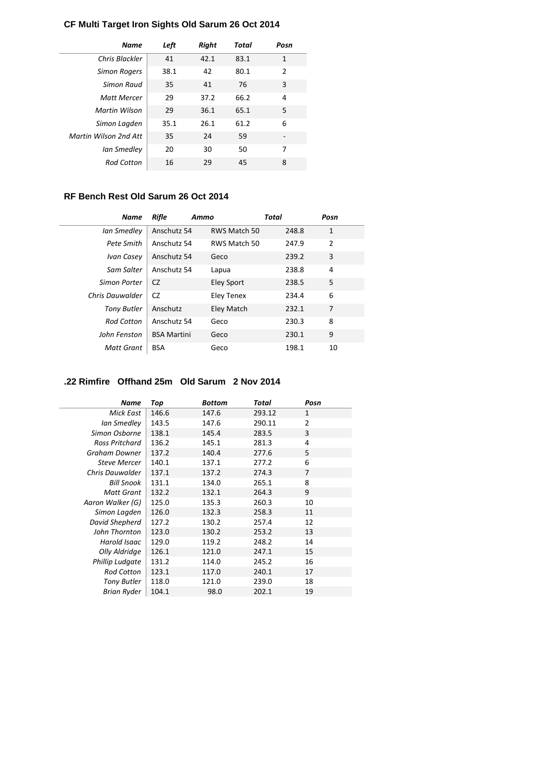# **CF Multi Target Iron Sights Old Sarum 26 Oct 2014**

| <b>Name</b>           | Left | Right | Total | Posn           |
|-----------------------|------|-------|-------|----------------|
| Chris Blackler        | 41   | 42.1  | 83.1  | $\mathbf{1}$   |
| <b>Simon Rogers</b>   | 38.1 | 42    | 80.1  | $\overline{2}$ |
| Simon Raud            | 35   | 41    | 76    | 3              |
| <b>Matt Mercer</b>    | 29   | 37.2  | 66.2  | 4              |
| Martin Wilson         | 29   | 36.1  | 65.1  | 5              |
| Simon Lagden          | 35.1 | 26.1  | 61.2  | 6              |
| Martin Wilson 2nd Att | 35   | 24    | 59    |                |
| Ian Smedley           | 20   | 30    | 50    | 7              |
| <b>Rod Cotton</b>     | 16   | 29    | 45    | 8              |

# **RF Bench Rest Old Sarum 26 Oct 2014**

| Name               | Rifle              | Ammo              | Total | Posn           |  |
|--------------------|--------------------|-------------------|-------|----------------|--|
| Ian Smedley        | Anschutz 54        | RWS Match 50      | 248.8 | $\mathbf{1}$   |  |
| Pete Smith         | Anschutz 54        | RWS Match 50      | 247.9 | $\overline{2}$ |  |
| Ivan Casey         | Anschutz 54        | Geco              | 239.2 | 3              |  |
| Sam Salter         | Anschutz 54        | Lapua             | 238.8 | 4              |  |
| Simon Porter       | CZ.                | <b>Eley Sport</b> | 238.5 | 5              |  |
| Chris Dauwalder    | CZ                 | Eley Tenex        | 234.4 | 6              |  |
| <b>Tony Butler</b> | Anschutz           | Eley Match        | 232.1 | 7              |  |
| <b>Rod Cotton</b>  | Anschutz 54        | Geco              | 230.3 | 8              |  |
| John Fenston       | <b>BSA Martini</b> | Geco              | 230.1 | 9              |  |
| Matt Grant         | <b>BSA</b>         | Geco              | 198.1 | 10             |  |

### **.22 Rimfire Offhand 25m Old Sarum 2 Nov 2014**

| Name                | Top   | Bottom | Total  | Posn           |
|---------------------|-------|--------|--------|----------------|
| <b>Mick East</b>    | 146.6 | 147.6  | 293.12 | $\mathbf{1}$   |
| Ian Smedley         | 143.5 | 147.6  | 290.11 | $\overline{2}$ |
| Simon Osborne       | 138.1 | 145.4  | 283.5  | 3              |
| Ross Pritchard      | 136.2 | 145.1  | 281.3  | 4              |
| Graham Downer       | 137.2 | 140.4  | 277.6  | 5              |
| <b>Steve Mercer</b> | 140.1 | 137.1  | 277.2  | 6              |
| Chris Dauwalder     | 137.1 | 137.2  | 274.3  | 7              |
| <b>Bill Snook</b>   | 131.1 | 134.0  | 265.1  | 8              |
| <b>Matt Grant</b>   | 132.2 | 132.1  | 264.3  | 9              |
| Aaron Walker (G)    | 125.0 | 135.3  | 260.3  | 10             |
| Simon Lagden        | 126.0 | 132.3  | 258.3  | 11             |
| David Shepherd      | 127.2 | 130.2  | 257.4  | 12             |
| John Thornton       | 123.0 | 130.2  | 253.2  | 13             |
| Harold Isaac        | 129.0 | 119.2  | 248.2  | 14             |
| Olly Aldridge       | 126.1 | 121.0  | 247.1  | 15             |
| Phillip Ludgate     | 131.2 | 114.0  | 245.2  | 16             |
| <b>Rod Cotton</b>   | 123.1 | 117.0  | 240.1  | 17             |
| Tony Butler         | 118.0 | 121.0  | 239.0  | 18             |
| Brian Ryder         | 104.1 | 98.0   | 202.1  | 19             |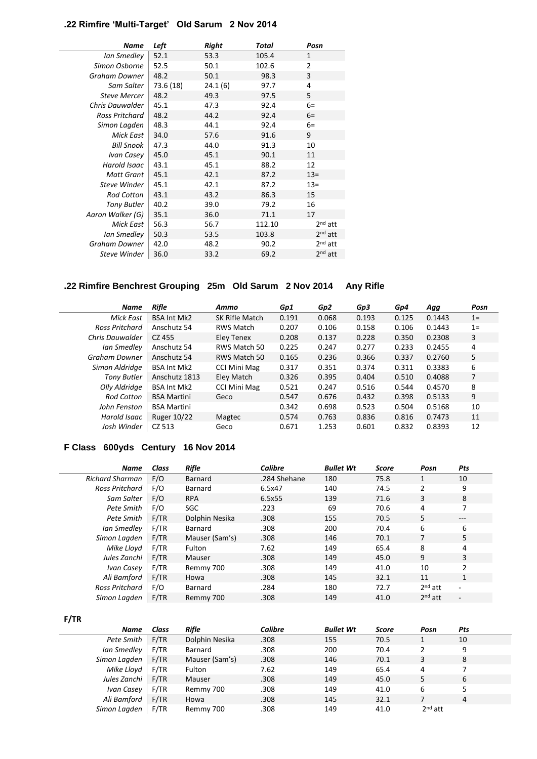# **.22 Rimfire 'Multi-Target' Old Sarum 2 Nov 2014**

| 52.1<br>53.3<br>Ian Smedley<br>105.4<br>1<br>2<br>52.5<br>Simon Osborne<br>50.1<br>102.6<br>3<br>48.2<br>Graham Downer<br>50.1<br>98.3<br>24.1(6)<br>73.6 (18)<br>97.7<br>4<br>Sam Salter |  |
|-------------------------------------------------------------------------------------------------------------------------------------------------------------------------------------------|--|
|                                                                                                                                                                                           |  |
|                                                                                                                                                                                           |  |
|                                                                                                                                                                                           |  |
|                                                                                                                                                                                           |  |
| 48.2<br>5<br>97.5<br><b>Steve Mercer</b><br>49.3                                                                                                                                          |  |
| 45.1<br>92.4<br>Chris Dauwalder<br>47.3<br>$6=$                                                                                                                                           |  |
| 48.2<br>44.2<br>92.4<br>Ross Pritchard<br>$6=$                                                                                                                                            |  |
| 48.3<br>44.1<br>92.4<br>$6=$<br>Simon Lagden                                                                                                                                              |  |
| 9<br>34.0<br>91.6<br>Mick East<br>57.6                                                                                                                                                    |  |
| 91.3<br><b>Bill Snook</b><br>47.3<br>44.0<br>10                                                                                                                                           |  |
| 45.0<br>Ivan Casey<br>90.1<br>11<br>45.1                                                                                                                                                  |  |
| Harold Isaac<br>43.1<br>88.2<br>12<br>45.1                                                                                                                                                |  |
| 45.1<br>42.1<br>87.2<br>$13=$<br><b>Matt Grant</b>                                                                                                                                        |  |
| 45.1<br>42.1<br>87.2<br>$13=$<br>Steve Winder                                                                                                                                             |  |
| 43.1<br>43.2<br>86.3<br><b>Rod Cotton</b><br>15                                                                                                                                           |  |
| 40.2<br>39.0<br>79.2<br>16<br><b>Tony Butler</b>                                                                                                                                          |  |
| 35.1<br>Aaron Walker (G)<br>36.0<br>71.1<br>17                                                                                                                                            |  |
| $2nd$ att<br>56.3<br>112.10<br>Mick East<br>56.7                                                                                                                                          |  |
| $2nd$ att<br>50.3<br>103.8<br>53.5<br>Ian Smedley                                                                                                                                         |  |
| $2nd$ att<br>Graham Downer<br>42.0<br>48.2<br>90.2                                                                                                                                        |  |
| $2nd$ att<br>36.0<br>69.2<br>Steve Winder<br>33.2                                                                                                                                         |  |

# **.22 Rimfire Benchrest Grouping 25m Old Sarum 2 Nov 2014 Any Rifle**

| Name               | Rifle              | Ammo                | Gp1   | Gp2   | Gp3   | Gp4   | Agg    | Posn           |
|--------------------|--------------------|---------------------|-------|-------|-------|-------|--------|----------------|
| Mick East          | <b>BSA Int Mk2</b> | SK Rifle Match      | 0.191 | 0.068 | 0.193 | 0.125 | 0.1443 | $1 =$          |
| Ross Pritchard     | Anschutz 54        | <b>RWS Match</b>    | 0.207 | 0.106 | 0.158 | 0.106 | 0.1443 | $1 =$          |
| Chris Dauwalder    | CZ 455             | Eley Tenex          | 0.208 | 0.137 | 0.228 | 0.350 | 0.2308 | 3              |
| Ian Smedley        | Anschutz 54        | RWS Match 50        | 0.225 | 0.247 | 0.277 | 0.233 | 0.2455 | 4              |
| Graham Downer      | Anschutz 54        | RWS Match 50        | 0.165 | 0.236 | 0.366 | 0.337 | 0.2760 | 5              |
| Simon Aldridae     | <b>BSA Int Mk2</b> | <b>CCI Mini Mag</b> | 0.317 | 0.351 | 0.374 | 0.311 | 0.3383 | 6              |
| <b>Tony Butler</b> | Anschutz 1813      | Eley Match          | 0.326 | 0.395 | 0.404 | 0.510 | 0.4088 | $\overline{7}$ |
| Olly Aldridge      | <b>BSA Int Mk2</b> | <b>CCI Mini Mag</b> | 0.521 | 0.247 | 0.516 | 0.544 | 0.4570 | 8              |
| <b>Rod Cotton</b>  | <b>BSA Martini</b> | Geco                | 0.547 | 0.676 | 0.432 | 0.398 | 0.5133 | 9              |
| John Fenston       | <b>BSA Martini</b> |                     | 0.342 | 0.698 | 0.523 | 0.504 | 0.5168 | 10             |
| Harold Isaac       | <b>Ruger 10/22</b> | Magtec              | 0.574 | 0.763 | 0.836 | 0.816 | 0.7473 | 11             |
| Josh Winder        | CZ 513             | Geco                | 0.671 | 1.253 | 0.601 | 0.832 | 0.8393 | 12             |

# **F Class 600yds Century 16 Nov 2014**

| <b>Name</b>            | Class | <b>Rifle</b>   | Calibre      | <b>Bullet Wt</b> | <b>Score</b> | Posn           | Pts          |
|------------------------|-------|----------------|--------------|------------------|--------------|----------------|--------------|
| <b>Richard Sharman</b> | F/O   | <b>Barnard</b> | .284 Shehane | 180              | 75.8         | 1              | 10           |
| Ross Pritchard         | F/O   | Barnard        | 6.5x47       | 140              | 74.5         | $\overline{2}$ | 9            |
| Sam Salter             | F/O   | <b>RPA</b>     | 6.5x55       | 139              | 71.6         | 3              | 8            |
| Pete Smith             | F/O   | <b>SGC</b>     | .223         | 69               | 70.6         | 4              | 7            |
| Pete Smith             | F/TR  | Dolphin Nesika | .308         | 155              | 70.5         | 5              | ---          |
| Ian Smedley            | F/TR  | Barnard        | .308         | 200              | 70.4         | 6              | 6            |
| Simon Lagden           | F/TR  | Mauser (Sam's) | .308         | 146              | 70.1         | 7              | 5            |
| Mike Lloyd             | F/TR  | Fulton         | 7.62         | 149              | 65.4         | 8              | 4            |
| Jules Zanchi           | F/TR  | Mauser         | .308         | 149              | 45.0         | 9              | 3            |
| Ivan Casey             | F/TR  | Remmy 700      | .308         | 149              | 41.0         | 10             | 2            |
| Ali Bamford            | F/TR  | Howa           | .308         | 145              | 32.1         | 11             | $\mathbf{1}$ |
| Ross Pritchard         | F/O   | Barnard        | .284         | 180              | 72.7         | $2nd$ att      |              |
| Simon Lagden           | F/TR  | Remmy 700      | .308         | 149              | 41.0         | $2nd$ att      | -            |

**F/TR**

| Name         | Class | Rifle          | <b>Calibre</b> | <b>Bullet Wt</b> | <b>Score</b> | Posn      | Pts |
|--------------|-------|----------------|----------------|------------------|--------------|-----------|-----|
| Pete Smith   | F/TR  | Dolphin Nesika | .308           | 155              | 70.5         |           | 10  |
| Ian Smedley  | F/TR  | Barnard        | .308           | 200              | 70.4         | 2         | 9   |
| Simon Lagden | F/TR  | Mauser (Sam's) | .308           | 146              | 70.1         | 3         | 8   |
| Mike Lloyd   | F/TR  | Fulton         | 7.62           | 149              | 65.4         | 4         |     |
| Jules Zanchi | F/TR  | Mauser         | .308           | 149              | 45.0         | 5         | 6   |
| Ivan Casey   | F/TR  | Remmy 700      | .308           | 149              | 41.0         | 6         |     |
| Ali Bamford  | F/TR  | Howa           | .308           | 145              | 32.1         |           | 4   |
| Simon Lagden | F/TR  | Remmy 700      | .308           | 149              | 41.0         | $2nd$ att |     |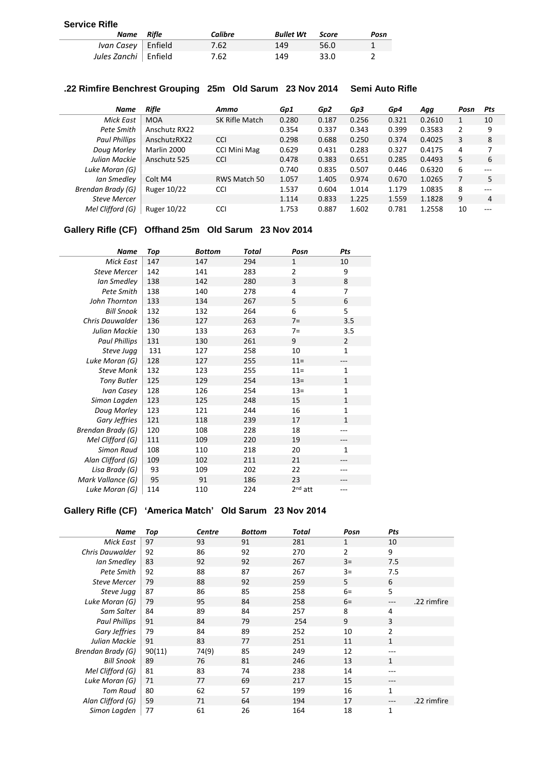#### **Service Rifle**

| Name Rifle                  | Calibre | <b>Bullet Wt</b> Score |      | Posn |
|-----------------------------|---------|------------------------|------|------|
| <i>Ivan Casey</i>   Enfield | 7.62    | 149                    | 56.0 |      |
| Jules Zanchi Enfield        | 7.62    | 149                    | 33.0 |      |

### **.22 Rimfire Benchrest Grouping 25m Old Sarum 23 Nov 2014 Semi Auto Rifle**

| <b>Name</b>          | Rifle              | Ammo                | Gp1   | Gp2   | Gp3   | Gp4   | Agg    | Posn | Pts     |
|----------------------|--------------------|---------------------|-------|-------|-------|-------|--------|------|---------|
| Mick East            | <b>MOA</b>         | SK Rifle Match      | 0.280 | 0.187 | 0.256 | 0.321 | 0.2610 |      | 10      |
| Pete Smith           | Anschutz RX22      |                     | 0.354 | 0.337 | 0.343 | 0.399 | 0.3583 | 2    | 9       |
| <b>Paul Phillips</b> | AnschutzRX22       | <b>CCI</b>          | 0.298 | 0.688 | 0.250 | 0.374 | 0.4025 | 3    | 8       |
| Doug Morley          | Marlin 2000        | <b>CCI Mini Mag</b> | 0.629 | 0.431 | 0.283 | 0.327 | 0.4175 | 4    | 7       |
| Julian Mackie        | Anschutz 525       | <b>CCI</b>          | 0.478 | 0.383 | 0.651 | 0.285 | 0.4493 | 5    | 6       |
| Luke Moran (G)       |                    |                     | 0.740 | 0.835 | 0.507 | 0.446 | 0.6320 | 6    | ---     |
| Ian Smedley          | Colt M4            | RWS Match 50        | 1.057 | 1.405 | 0.974 | 0.670 | 1.0265 |      | 5       |
| Brendan Brady (G)    | Ruger 10/22        | <b>CCI</b>          | 1.537 | 0.604 | 1.014 | 1.179 | 1.0835 | 8    | $---$   |
| <b>Steve Mercer</b>  |                    |                     | 1.114 | 0.833 | 1.225 | 1.559 | 1.1828 | 9    | 4       |
| Mel Clifford (G)     | <b>Ruger 10/22</b> | <b>CCI</b>          | 1.753 | 0.887 | 1.602 | 0.781 | 1.2558 | 10   | $- - -$ |

### **Gallery Rifle (CF) Offhand 25m Old Sarum 23 Nov 2014**

| <b>Name</b>              | Top | Bottom | Total | Posn                | Pts            |
|--------------------------|-----|--------|-------|---------------------|----------------|
| <b>Mick East</b>         | 147 | 147    | 294   | $\mathbf{1}$        | 10             |
| <b>Steve Mercer</b>      | 142 | 141    | 283   | 2                   | 9              |
| Ian Smedley              | 138 | 142    | 280   | 3                   | 8              |
| Pete Smith               | 138 | 140    | 278   | 4                   | 7              |
| John Thornton            | 133 | 134    | 267   | 5                   | 6              |
| <b>Bill Snook</b>        | 132 | 132    | 264   | 6                   | 5              |
| <b>Chris Dauwalder</b>   | 136 | 127    | 263   | $7=$                | 3.5            |
| Julian Mackie            | 130 | 133    | 263   | $7=$                | 3.5            |
| <b>Paul Phillips</b>     | 131 | 130    | 261   | 9                   | $\overline{2}$ |
| Steve Jugg               | 131 | 127    | 258   | 10                  | 1              |
| Luke Moran (G)           | 128 | 127    | 255   | $11 =$              | ---            |
| <b>Steve Monk</b>        | 132 | 123    | 255   | $11 =$              | $\mathbf{1}$   |
| <b>Tony Butler</b>       | 125 | 129    | 254   | $13 =$              | $\mathbf{1}$   |
| Ivan Casey               | 128 | 126    | 254   | $13 =$              | 1              |
| Simon Lagden             | 123 | 125    | 248   | 15                  | $\mathbf{1}$   |
| Doug Morley              | 123 | 121    | 244   | 16                  | 1              |
| Gary Jeffries            | 121 | 118    | 239   | 17                  | $\mathbf{1}$   |
| <b>Brendan Brady (G)</b> | 120 | 108    | 228   | 18                  |                |
| Mel Clifford (G)         | 111 | 109    | 220   | 19                  | ---            |
| <b>Simon Raud</b>        | 108 | 110    | 218   | 20                  | 1              |
| Alan Clifford (G)        | 109 | 102    | 211   | 21                  |                |
| Lisa Brady (G)           | 93  | 109    | 202   | 22                  |                |
| Mark Vallance (G)        | 95  | 91     | 186   | 23                  |                |
| Luke Moran (G)           | 114 | 110    | 224   | 2 <sup>nd</sup> att | ---            |

Ļ

**Gallery Rifle (CF) 'America Match' Old Sarum 23 Nov 2014**

| Name                 | Top    | <b>Centre</b> | <b>Bottom</b> | Total | Posn           | Pts            |             |
|----------------------|--------|---------------|---------------|-------|----------------|----------------|-------------|
| <b>Mick East</b>     | 97     | 93            | 91            | 281   | $\mathbf{1}$   | 10             |             |
| Chris Dauwalder      | 92     | 86            | 92            | 270   | $\overline{2}$ | 9              |             |
| Ian Smedley          | 83     | 92            | 92            | 267   | $3=$           | 7.5            |             |
| Pete Smith           | 92     | 88            | 87            | 267   | $3=$           | 7.5            |             |
| <b>Steve Mercer</b>  | 79     | 88            | 92            | 259   | 5              | 6              |             |
| Steve Jugg           | 87     | 86            | 85            | 258   | $6=$           | 5              |             |
| Luke Moran (G)       | 79     | 95            | 84            | 258   | $6=$           | ---            | .22 rimfire |
| Sam Salter           | 84     | 89            | 84            | 257   | 8              | 4              |             |
| <b>Paul Phillips</b> | 91     | 84            | 79            | 254   | 9              | 3              |             |
| Gary Jeffries        | 79     | 84            | 89            | 252   | 10             | $\overline{2}$ |             |
| Julian Mackie        | 91     | 83            | 77            | 251   | 11             | $\mathbf{1}$   |             |
| Brendan Brady (G)    | 90(11) | 74(9)         | 85            | 249   | 12             |                |             |
| <b>Bill Snook</b>    | 89     | 76            | 81            | 246   | 13             | $\mathbf{1}$   |             |
| Mel Clifford (G)     | 81     | 83            | 74            | 238   | 14             | ---            |             |
| Luke Moran (G)       | 71     | 77            | 69            | 217   | 15             |                |             |
| Tom Raud             | 80     | 62            | 57            | 199   | 16             | $\mathbf{1}$   |             |
| Alan Clifford (G)    | 59     | 71            | 64            | 194   | 17             | $---$          | .22 rimfire |
| Simon Lagden         | 77     | 61            | 26            | 164   | 18             | 1              |             |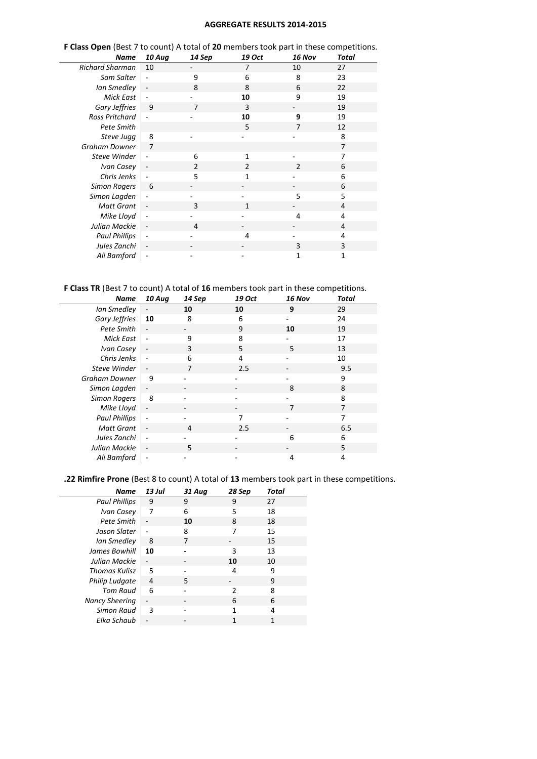#### **AGGREGATE RESULTS 2014-2015**

| <b>Name</b>            | 10 Aug                   | 14 Sep | 19 Oct       | 16 Nov         | Total          |
|------------------------|--------------------------|--------|--------------|----------------|----------------|
| <b>Richard Sharman</b> | 10                       |        | 7            | 10             | 27             |
| Sam Salter             | ÷,                       | 9      | 6            | 8              | 23             |
| Ian Smedley            | $\overline{\phantom{a}}$ | 8      | 8            | 6              | 22             |
| <b>Mick East</b>       |                          |        | 10           | 9              | 19             |
| Gary Jeffries          | 9                        | 7      | 3            |                | 19             |
| <b>Ross Pritchard</b>  | $\overline{a}$           |        | 10           | 9              | 19             |
| Pete Smith             |                          |        | 5            | 7              | 12             |
| Steve Jugg             | 8                        |        |              |                | 8              |
| <b>Graham Downer</b>   | $\overline{7}$           |        |              |                | $\overline{7}$ |
| Steve Winder           | $\overline{\phantom{a}}$ | 6      | 1            |                | 7              |
| Ivan Casey             | $\overline{\phantom{a}}$ | 2      | 2            | $\overline{2}$ | 6              |
| Chris Jenks            |                          | 5      | 1            |                | 6              |
| <b>Simon Rogers</b>    | 6                        |        |              |                | 6              |
| Simon Lagden           | $\overline{a}$           |        |              | 5              | 5              |
| <b>Matt Grant</b>      | $\overline{\phantom{a}}$ | 3      | $\mathbf{1}$ |                | $\overline{4}$ |
| Mike Lloyd             | $\overline{\phantom{a}}$ |        |              | 4              | 4              |
| Julian Mackie          | $\overline{\phantom{a}}$ | 4      |              |                | 4              |
| <b>Paul Phillips</b>   | $\overline{\phantom{a}}$ |        | 4            |                | 4              |
| Jules Zanchi           | $\overline{\phantom{a}}$ |        |              | 3              | 3              |
| Ali Bamford            |                          |        |              | 1              | 1              |

# **F Class Open** (Best 7 to count) A total of **20** members took part in these competitions.

J.

### **F Class TR** (Best 7 to count) A total of **16** members took part in these competitions.

| <b>Name</b>          | 10 Aug | 14 Sep | 19 Oct | 16 Nov | Total |
|----------------------|--------|--------|--------|--------|-------|
| Ian Smedley          |        | 10     | 10     | 9      | 29    |
| Gary Jeffries        | 10     | 8      | 6      |        | 24    |
| Pete Smith           |        |        | 9      | 10     | 19    |
| Mick East            |        | 9      | 8      |        | 17    |
| Ivan Casey           |        | 3      | 5      | 5      | 13    |
| Chris Jenks          |        | 6      | 4      |        | 10    |
| Steve Winder         |        | 7      | 2.5    |        | 9.5   |
| Graham Downer        | 9      |        |        |        | 9     |
| Simon Lagden         |        |        |        | 8      | 8     |
| <b>Simon Rogers</b>  | 8      |        |        |        | 8     |
| Mike Lloyd           |        |        |        | 7      | 7     |
| <b>Paul Phillips</b> |        |        | 7      |        | 7     |
| <b>Matt Grant</b>    | ٠      | 4      | 2.5    |        | 6.5   |
| Jules Zanchi         |        |        |        | 6      | 6     |
| Julian Mackie        |        | 5      |        |        | 5     |
| Ali Bamford          |        |        |        | 4      | 4     |

#### **.22 Rimfire Prone** (Best 8 to count) A total of **13** members took part in these competitions.

| Name                  | 13 Jul | 31 Aug | 28 Sep | Total |
|-----------------------|--------|--------|--------|-------|
| <b>Paul Phillips</b>  | 9      | 9      | 9      | 27    |
| Ivan Casey            | 7      | 6      | 5      | 18    |
| Pete Smith            |        | 10     | 8      | 18    |
| Jason Slater          |        | 8      | 7      | 15    |
| Ian Smedley           | 8      | 7      |        | 15    |
| James Bowhill         | 10     |        | 3      | 13    |
| Julian Mackie         |        |        | 10     | 10    |
| Thomas Kulisz         | 5      |        | 4      | 9     |
| Philip Ludgate        | 4      | 5      |        | 9     |
| Tom Raud              | 6      |        | 2      | 8     |
| <b>Nancy Sheering</b> |        |        | 6      | 6     |
| <b>Simon Raud</b>     | 3      |        | 1      | 4     |
| Elka Schaub           |        |        | 1      |       |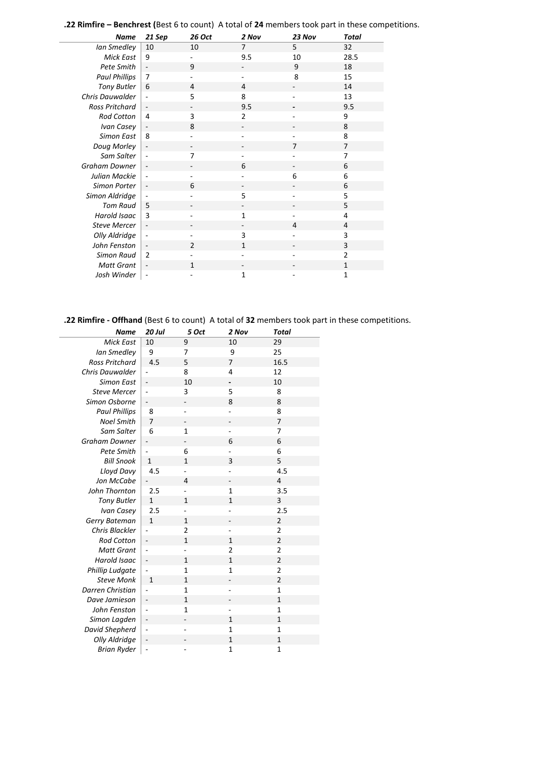**.22 Rimfire – Benchrest (**Best 6 to count) A total of **24** members took part in these competitions.

í,

 $\overline{\phantom{a}}$ 

| <b>Name</b>           | 21 Sep                       | 26 Oct                   | 2 Nov          | 23 Nov         | <b>Total</b>   |
|-----------------------|------------------------------|--------------------------|----------------|----------------|----------------|
| Ian Smedley           | 10                           | 10                       | 7              | 5              | 32             |
| <b>Mick East</b>      | 9                            |                          | 9.5            | 10             | 28.5           |
| Pete Smith            | $\overline{\phantom{a}}$     | 9                        |                | 9              | 18             |
| <b>Paul Phillips</b>  | $\overline{7}$               |                          |                | 8              | 15             |
| <b>Tony Butler</b>    | 6                            | $\overline{4}$           | $\overline{4}$ |                | 14             |
| Chris Dauwalder       | ÷,                           | 5                        | 8              |                | 13             |
| <b>Ross Pritchard</b> | $\overline{\phantom{a}}$     |                          | 9.5            |                | 9.5            |
| <b>Rod Cotton</b>     | $\overline{4}$               | 3                        | 2              |                | 9              |
| Ivan Casey            | $\overline{\phantom{a}}$     | 8                        |                |                | 8              |
| <b>Simon East</b>     | 8                            |                          |                |                | 8              |
| Doug Morley           | $\qquad \qquad \blacksquare$ | $\overline{\phantom{0}}$ |                | 7              | $\overline{7}$ |
| Sam Salter            | ÷,                           | 7                        |                |                | 7              |
| Graham Downer         |                              |                          | 6              |                | 6              |
| Julian Mackie         |                              |                          |                | 6              | 6              |
| Simon Porter          | $\overline{\phantom{a}}$     | 6                        |                |                | 6              |
| Simon Aldridge        |                              |                          | 5              |                | 5              |
| <b>Tom Raud</b>       | 5                            |                          |                |                | 5              |
| Harold Isaac          | $\overline{3}$               |                          | 1              |                | 4              |
| <b>Steve Mercer</b>   | $\overline{\phantom{a}}$     |                          |                | $\overline{4}$ | $\overline{4}$ |
| Olly Aldridge         |                              |                          | 3              |                | 3              |
| John Fenston          | $\overline{\phantom{a}}$     | $\overline{2}$           | $\mathbf{1}$   |                | 3              |
| <b>Simon Raud</b>     | $\overline{2}$               |                          |                |                | $\overline{2}$ |
| <b>Matt Grant</b>     | $\overline{\phantom{a}}$     | $\mathbf{1}$             |                |                | $\mathbf{1}$   |
| Josh Winder           | ÷,                           |                          | 1              |                | $\mathbf{1}$   |

**.22 Rimfire - Offhand** (Best 6 to count) A total of **32** members took part in these competitions.

| Name                  | <b>20 Jul</b> | 5 Oct          | 2 Nov                    | <b>Total</b>            |
|-----------------------|---------------|----------------|--------------------------|-------------------------|
| <b>Mick East</b>      | 10            | 9              | 10                       | 29                      |
| Ian Smedley           | 9             | 7              | 9                        | 25                      |
| <b>Ross Pritchard</b> | 4.5           | 5              | 7                        | 16.5                    |
| Chris Dauwalder       |               | 8              | 4                        | 12                      |
| <b>Simon East</b>     |               | 10             |                          | 10                      |
| <b>Steve Mercer</b>   | ÷,            | 3              | 5                        | 8                       |
| Simon Osborne         |               |                | 8                        | 8                       |
| <b>Paul Phillips</b>  | 8             |                |                          | 8                       |
| <b>Noel Smith</b>     | 7             |                |                          | 7                       |
| Sam Salter            | 6             | $\mathbf 1$    |                          | 7                       |
| <b>Graham Downer</b>  |               |                | 6                        | 6                       |
| Pete Smith            |               | 6              |                          | 6                       |
| <b>Bill Snook</b>     | $\mathbf{1}$  | $\mathbf{1}$   | 3                        | 5                       |
| Lloyd Davy            | 4.5           |                |                          | 4.5                     |
| Jon McCabe            |               | 4              | $\overline{\phantom{0}}$ | $\overline{4}$          |
| John Thornton         | 2.5           |                | $\mathbf{1}$             | 3.5                     |
| <b>Tony Butler</b>    | $\mathbf{1}$  | $\mathbf{1}$   | $\mathbf{1}$             | 3                       |
| Ivan Casey            | 2.5           |                |                          | 2.5                     |
| Gerry Bateman         | $\mathbf{1}$  | $\mathbf{1}$   |                          | 2                       |
| Chris Blackler        |               | $\overline{2}$ |                          | $\overline{2}$          |
| <b>Rod Cotton</b>     |               | $\mathbf{1}$   | $\mathbf{1}$             | $\overline{\mathbf{c}}$ |
| <b>Matt Grant</b>     |               |                | 2                        | $\overline{2}$          |
| <b>Harold Isaac</b>   | ÷,            | $\mathbf{1}$   | $\mathbf{1}$             | $\overline{2}$          |
| Phillip Ludgate       |               | $\mathbf 1$    | $\mathbf{1}$             | $\overline{\mathbf{c}}$ |
| <b>Steve Monk</b>     | $\mathbf{1}$  | $\mathbf{1}$   |                          | $\overline{2}$          |
| Darren Christian      |               | $\mathbf{1}$   | ÷,                       | $\mathbf{1}$            |
| Dave Jamieson         | ÷             | $\mathbf 1$    |                          | $\mathbf{1}$            |
| John Fenston          |               | $\mathbf{1}$   |                          | $\mathbf 1$             |
| Simon Lagden          |               |                | $\mathbf{1}$             | $\mathbf{1}$            |
| David Shepherd        | ÷,            |                | $\mathbf{1}$             | $\mathbf{1}$            |
| Olly Aldridge         |               |                | $\mathbf{1}$             | $\mathbf 1$             |
| <b>Brian Ryder</b>    | ÷,            |                | $\mathbf{1}$             | $\mathbf 1$             |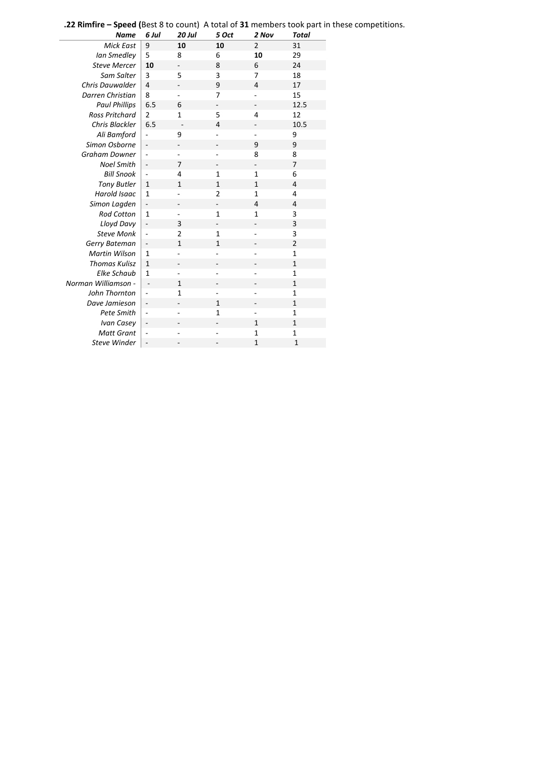|  | <b>.22 Rimfire - Speed (Best 8 to count) A total of 31 members took part in these competitions.</b> |
|--|-----------------------------------------------------------------------------------------------------|
|--|-----------------------------------------------------------------------------------------------------|

| <b>Name</b>           | 6 Jul                    | 20 Jul                   | 5 Oct                    | 2 Nov                    | <b>Total</b>   |
|-----------------------|--------------------------|--------------------------|--------------------------|--------------------------|----------------|
| <b>Mick East</b>      | 9                        | 10                       | 10                       | $\overline{2}$           | 31             |
| Ian Smedley           | 5                        | 8                        | 6                        | 10                       | 29             |
| <b>Steve Mercer</b>   | 10                       | $\overline{a}$           | 8                        | 6                        | 24             |
| Sam Salter            | 3                        | 5                        | 3                        | 7                        | 18             |
| Chris Dauwalder       | $\overline{4}$           | $\overline{\phantom{0}}$ | 9                        | $\overline{4}$           | 17             |
| Darren Christian      | 8                        |                          | 7                        |                          | 15             |
| <b>Paul Phillips</b>  | 6.5                      | 6                        | $\overline{\phantom{m}}$ | $\overline{\phantom{m}}$ | 12.5           |
| <b>Ross Pritchard</b> | $\overline{2}$           | $\mathbf{1}$             | 5                        | $\overline{4}$           | 12             |
| Chris Blackler        | 6.5                      |                          | $\overline{4}$           |                          | 10.5           |
| Ali Bamford           |                          | 9                        |                          | $\overline{\phantom{0}}$ | 9              |
| Simon Osborne         | ÷                        | $\overline{\phantom{0}}$ | $\overline{\phantom{0}}$ | 9                        | 9              |
| Graham Downer         | $\overline{a}$           | L.                       |                          | 8                        | 8              |
| <b>Noel Smith</b>     | ÷                        | 7                        |                          |                          | $\overline{7}$ |
| <b>Bill Snook</b>     | ÷,                       | 4                        | $\mathbf 1$              | $\mathbf{1}$             | 6              |
| <b>Tony Butler</b>    | 1                        | $\mathbf{1}$             | $\mathbf{1}$             | $\mathbf{1}$             | 4              |
| Harold Isaac          | $\mathbf{1}$             | ÷,                       | $\overline{\mathbf{c}}$  | $\mathbf{1}$             | 4              |
| Simon Lagden          | ÷                        | $\overline{\phantom{0}}$ | $\overline{\phantom{m}}$ | $\overline{4}$           | 4              |
| <b>Rod Cotton</b>     | $\mathbf{1}$             | $\overline{\phantom{0}}$ | $\mathbf 1$              | $\mathbf{1}$             | 3              |
| Lloyd Davy            | ÷                        | 3                        |                          | $\overline{\phantom{0}}$ | 3              |
| <b>Steve Monk</b>     | ÷,                       | $\overline{2}$           | $\mathbf{1}$             | -                        | 3              |
| Gerry Bateman         | ÷                        | $\mathbf{1}$             | $\mathbf{1}$             | -                        | $\overline{2}$ |
| Martin Wilson         | $\mathbf{1}$             | $\overline{a}$           |                          |                          | $\mathbf{1}$   |
| <b>Thomas Kulisz</b>  | $\mathbf{1}$             | -                        |                          | -                        | $\mathbf{1}$   |
| Elke Schaub           | $\mathbf{1}$             | $\overline{\phantom{0}}$ |                          | ä,                       | $\mathbf{1}$   |
| Norman Williamson -   | $\overline{a}$           | $\mathbf{1}$             |                          |                          | $\mathbf{1}$   |
| John Thornton         | ÷                        | $\mathbf{1}$             |                          |                          | $\mathbf{1}$   |
| Dave Jamieson         | ÷                        | -                        | $\mathbf{1}$             | $\overline{\phantom{a}}$ | $\mathbf{1}$   |
| Pete Smith            | ÷,                       |                          | 1                        |                          | $\mathbf{1}$   |
| Ivan Casey            | ÷,                       |                          |                          | $\mathbf{1}$             | $\mathbf{1}$   |
| <b>Matt Grant</b>     | $\blacksquare$           |                          |                          | $\mathbf{1}$             | $\mathbf{1}$   |
| <b>Steve Winder</b>   | $\overline{\phantom{m}}$ |                          |                          | $\mathbf{1}$             | $\mathbf{1}$   |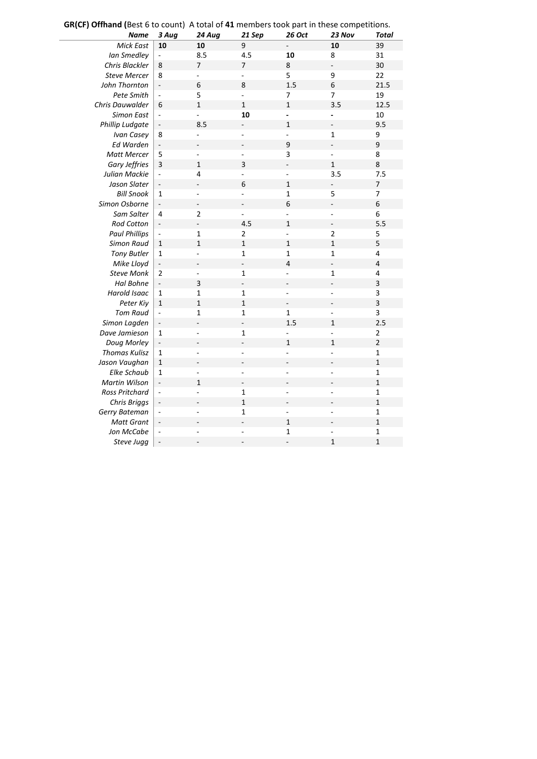| $\mathbf{u}$ of $\mathbf{v}$ of $\mathbf{u}$ and $\mathbf{v}$ and $\mathbf{v}$ are $\mathbf{v}$ and $\mathbf{v}$ are $\mathbf{v}$ and $\mathbf{v}$ are $\mathbf{v}$ and $\mathbf{v}$ are $\mathbf{v}$ and $\mathbf{v}$ are $\mathbf{v}$ and $\mathbf{v}$ are $\mathbf{v}$<br><b>Name</b> | 3 Aug                    | 24 Aug                   | 21 Sep                   | 26 Oct                   | 23 Nov                   | Total                   |
|------------------------------------------------------------------------------------------------------------------------------------------------------------------------------------------------------------------------------------------------------------------------------------------|--------------------------|--------------------------|--------------------------|--------------------------|--------------------------|-------------------------|
| <b>Mick East</b>                                                                                                                                                                                                                                                                         | 10                       | 10                       | 9                        |                          | 10                       | 39                      |
| Ian Smedley                                                                                                                                                                                                                                                                              | ÷,                       | 8.5                      | $4.5\,$                  | 10                       | 8                        | 31                      |
| Chris Blackler                                                                                                                                                                                                                                                                           | 8                        | $\overline{7}$           | 7                        | $\,8\,$                  |                          | 30                      |
| <b>Steve Mercer</b>                                                                                                                                                                                                                                                                      | 8                        |                          | L,                       | 5                        | 9                        | 22                      |
| John Thornton                                                                                                                                                                                                                                                                            | ÷,                       | 6                        | 8                        | 1.5                      | $\overline{6}$           | 21.5                    |
| Pete Smith                                                                                                                                                                                                                                                                               | $\blacksquare$           | 5                        | $\overline{a}$           | 7                        | 7                        | 19                      |
| Chris Dauwalder                                                                                                                                                                                                                                                                          | 6                        | $\overline{1}$           | $\mathbf 1$              | $\mathbf{1}$             | 3.5                      | 12.5                    |
| <b>Simon East</b>                                                                                                                                                                                                                                                                        | $\frac{1}{2}$            |                          | 10                       | L.                       |                          | 10                      |
| Phillip Ludgate                                                                                                                                                                                                                                                                          | $\overline{\phantom{a}}$ | 8.5                      |                          | 1                        | $\frac{1}{2}$            | 9.5                     |
| Ivan Casey                                                                                                                                                                                                                                                                               | 8                        | $\overline{a}$           | $\overline{a}$           | $\overline{a}$           | $\mathbf 1$              | 9                       |
| Ed Warden                                                                                                                                                                                                                                                                                | ÷,                       |                          |                          | 9                        |                          | 9                       |
| <b>Matt Mercer</b>                                                                                                                                                                                                                                                                       | 5                        |                          | L,                       | 3                        | ÷,                       | 8                       |
| Gary Jeffries                                                                                                                                                                                                                                                                            | $\overline{\mathbf{3}}$  | $\mathbf{1}$             | 3                        |                          | $\overline{1}$           | 8                       |
| Julian Mackie                                                                                                                                                                                                                                                                            | $\blacksquare$           | 4                        | $\overline{a}$           | ÷,                       | 3.5                      | 7.5                     |
| Jason Slater                                                                                                                                                                                                                                                                             | $\overline{\phantom{0}}$ |                          | 6                        | $\mathbf 1$              |                          | $\overline{7}$          |
| <b>Bill Snook</b>                                                                                                                                                                                                                                                                        | $\mathbf{1}$             | $\overline{a}$           |                          | $\mathbf 1$              | 5                        | $\overline{7}$          |
| Simon Osborne                                                                                                                                                                                                                                                                            | $\overline{\phantom{a}}$ | $\overline{\phantom{0}}$ |                          | 6                        | $\overline{a}$           | 6                       |
| Sam Salter                                                                                                                                                                                                                                                                               | $\overline{\mathbf{4}}$  | $\mathbf 2$              | $\overline{a}$           | $\mathbf{r}$             | $\overline{\phantom{a}}$ | 6                       |
| <b>Rod Cotton</b>                                                                                                                                                                                                                                                                        | $\overline{\phantom{a}}$ |                          | 4.5                      | $\mathbf 1$              | L,                       | 5.5                     |
| <b>Paul Phillips</b>                                                                                                                                                                                                                                                                     | $\overline{a}$           | $\mathbf 1$              | $\overline{2}$           | ÷,                       | $\overline{2}$           | 5                       |
| <b>Simon Raud</b>                                                                                                                                                                                                                                                                        | $\mathbf 1$              | $\mathbf{1}$             | $\mathbf{1}$             | $\mathbf 1$              | $\overline{1}$           | 5                       |
| <b>Tony Butler</b>                                                                                                                                                                                                                                                                       | $\mathbf{1}$             | $\overline{a}$           | $\mathbf{1}$             | 1                        | $\mathbf{1}$             | 4                       |
| Mike Lloyd                                                                                                                                                                                                                                                                               | $\overline{\phantom{a}}$ | $\qquad \qquad -$        | $\overline{a}$           | $\overline{\mathbf{4}}$  | $\overline{a}$           | $\overline{\mathbf{4}}$ |
| <b>Steve Monk</b>                                                                                                                                                                                                                                                                        | $\overline{2}$           |                          | 1                        | L.                       | $\mathbf{1}$             | $\overline{\mathbf{4}}$ |
| Hal Bohne                                                                                                                                                                                                                                                                                | $\overline{\phantom{a}}$ | 3                        | $\overline{\phantom{a}}$ |                          |                          | 3                       |
| Harold Isaac                                                                                                                                                                                                                                                                             | 1                        | $\mathbf{1}$             | 1                        | ÷,                       | ÷,                       | 3                       |
| Peter Kiy                                                                                                                                                                                                                                                                                | $\mathbf 1$              | $\mathbf{1}$             | $\mathbf 1$              | $\overline{\phantom{a}}$ |                          | $\overline{\mathbf{3}}$ |
| <b>Tom Raud</b>                                                                                                                                                                                                                                                                          | $\overline{\phantom{a}}$ | $\mathbf{1}$             | $\mathbf{1}$             | $\mathbf{1}$             | ÷,                       | 3                       |
| Simon Lagden                                                                                                                                                                                                                                                                             | $\overline{\phantom{a}}$ |                          | $\overline{\phantom{a}}$ | 1.5                      | $\overline{1}$           | 2.5                     |
| Dave Jamieson                                                                                                                                                                                                                                                                            | $\mathbf 1$              | ÷,                       | $\mathbf{1}$             | ÷,                       | $\overline{a}$           | $\mathbf 2$             |
| Doug Morley                                                                                                                                                                                                                                                                              | $\overline{\phantom{a}}$ |                          |                          | $\mathbf{1}$             | $\mathbf{1}$             | $\overline{2}$          |
| <b>Thomas Kulisz</b>                                                                                                                                                                                                                                                                     | $\mathbf 1$              |                          | L,                       |                          | $\overline{a}$           | $\mathbf 1$             |
| Jason Vaughan                                                                                                                                                                                                                                                                            | $\mathbf 1$              | L,                       | L,                       |                          | $\overline{\phantom{a}}$ | $\overline{1}$          |
| <b>Elke Schaub</b>                                                                                                                                                                                                                                                                       | $\mathbf{1}$             | L,                       | ÷,                       | $\overline{\phantom{a}}$ | ÷,                       | $\mathbf 1$             |
| <b>Martin Wilson</b>                                                                                                                                                                                                                                                                     | $\overline{\phantom{m}}$ | $\mathbf{1}$             | $\overline{\phantom{0}}$ |                          |                          | $\overline{1}$          |
| Ross Pritchard                                                                                                                                                                                                                                                                           | ÷,                       | $\overline{a}$           | 1                        |                          | ÷,                       | $\mathbf 1$             |
| Chris Briggs                                                                                                                                                                                                                                                                             | ÷,                       |                          | $\mathbf{1}$             | $\overline{a}$           | L,                       | $\mathbf 1$             |
| Gerry Bateman                                                                                                                                                                                                                                                                            | $\blacksquare$           | $\overline{a}$           | $\mathbf{1}$             | $\overline{\phantom{a}}$ | $\overline{\phantom{a}}$ | $\mathbf 1$             |
| <b>Matt Grant</b>                                                                                                                                                                                                                                                                        | $\overline{\phantom{0}}$ |                          |                          | $\mathbf{1}$             |                          | $\overline{1}$          |
| Jon McCabe                                                                                                                                                                                                                                                                               | ÷                        |                          |                          | 1                        |                          | $\mathbf 1$             |
| Steve Jugg                                                                                                                                                                                                                                                                               | $\overline{\phantom{a}}$ | $\overline{a}$           | $\overline{a}$           | ÷,                       | $\mathbf 1$              | $\mathbf 1$             |

**GR(CF) Offhand (**Best 6 to count) A total of **41** members took part in these competitions.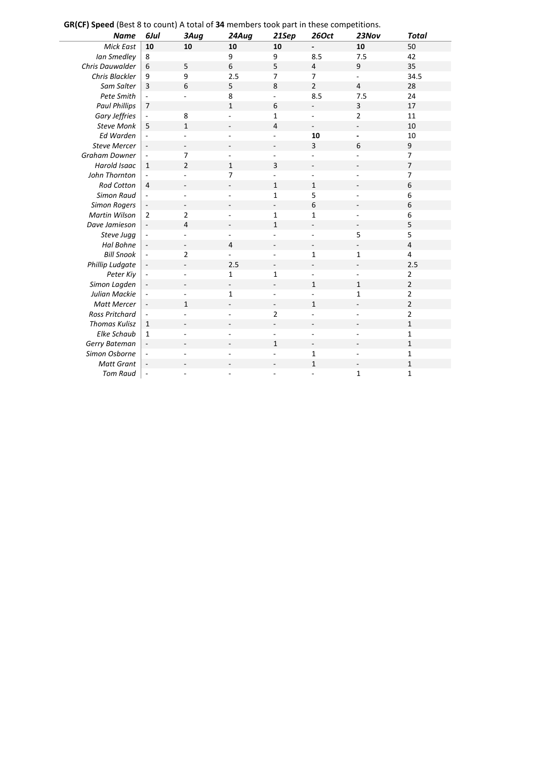**GR(CF) Speed** (Best 8 to count) A total of **34** members took part in these competitions.

| <b>Name</b>            | 6Jul                     | 3Aug                         | 24Aug                    | 21Sep                    | <b>260ct</b>             | 23Nov                    | <b>Total</b>   |
|------------------------|--------------------------|------------------------------|--------------------------|--------------------------|--------------------------|--------------------------|----------------|
| <b>Mick East</b>       | 10                       | 10                           | 10                       | 10                       |                          | 10                       | 50             |
| Ian Smedley            | 8                        |                              | 9                        | 9                        | 8.5                      | 7.5                      | 42             |
| Chris Dauwalder        | 6                        | 5                            | 6                        | 5                        | $\sqrt{4}$               | 9                        | 35             |
| Chris Blackler         | 9                        | 9                            | 2.5                      | $\overline{7}$           | $\overline{7}$           | $\blacksquare$           | 34.5           |
| Sam Salter             | 3                        | 6                            | 5                        | 8                        | $\overline{2}$           | $\overline{4}$           | 28             |
| Pete Smith             | $\sim$                   | $\overline{\phantom{a}}$     | 8                        | $\overline{a}$           | 8.5                      | 7.5                      | 24             |
| <b>Paul Phillips</b>   | $\overline{7}$           |                              | $\mathbf{1}$             | 6                        | $\overline{\phantom{a}}$ | 3                        | 17             |
| Gary Jeffries          |                          | 8                            |                          | 1                        | $\overline{a}$           | 2                        | 11             |
| <b>Steve Monk</b>      | 5                        | $\mathbf 1$                  |                          | $\overline{4}$           | $\overline{a}$           | ÷,                       | 10             |
| Ed Warden              |                          | ÷,                           |                          |                          | 10                       | $\blacksquare$           | 10             |
| <b>Steve Mercer</b>    |                          | -                            |                          |                          | 3                        | 6                        | 9              |
| <b>Graham Downer</b>   | $\overline{\phantom{a}}$ | $\overline{7}$               | ä,                       | ÷.                       | L.                       |                          | $\overline{7}$ |
| Harold Isaac           | $\mathbf{1}$             | $\overline{2}$               | $\mathbf{1}$             | 3                        | $\overline{\phantom{a}}$ |                          | $\overline{7}$ |
| John Thornton          | $\sim$                   | $\overline{a}$               | $\overline{7}$           | $\overline{a}$           | $\overline{a}$           | ٠                        | 7              |
| <b>Rod Cotton</b>      | $\overline{4}$           | $\overline{\phantom{a}}$     | $\overline{a}$           | $\mathbf{1}$             | $\mathbf{1}$             |                          | 6              |
| <b>Simon Raud</b>      | ÷,                       | ä,                           | L.                       | 1                        | 5                        |                          | 6              |
| <b>Simon Rogers</b>    |                          | $\overline{\phantom{a}}$     |                          | $\overline{\phantom{a}}$ | 6                        |                          | 6              |
| <b>Martin Wilson</b>   | $\overline{2}$           | $\overline{2}$               |                          | 1                        | $\mathbf{1}$             |                          | 6              |
| Dave Jamieson          |                          | $\overline{4}$               |                          | $\mathbf{1}$             | $\overline{\phantom{a}}$ | $\overline{\phantom{a}}$ | 5              |
| Steve Jugg             |                          | ÷,                           | $\overline{\phantom{0}}$ |                          | $\blacksquare$           | 5                        | 5              |
| Hal Bohne              |                          | $\overline{\phantom{a}}$     | 4                        |                          | $\overline{\phantom{m}}$ |                          | 4              |
| <b>Bill Snook</b>      | $\overline{\phantom{a}}$ | $\overline{2}$               | ÷.                       | ÷.                       | $\mathbf 1$              | $\mathbf{1}$             | 4              |
| <b>Phillip Ludgate</b> | $\overline{\phantom{a}}$ | $\overline{\phantom{0}}$     | 2.5                      |                          |                          |                          | 2.5            |
| Peter Kiy              | $\overline{\phantom{a}}$ | $\overline{a}$               | $\mathbf{1}$             | $\mathbf{1}$             | $\overline{\phantom{a}}$ | $\overline{\phantom{a}}$ | $\mathbf{2}$   |
| Simon Lagden           | $\blacksquare$           | $\qquad \qquad \blacksquare$ | $\overline{\phantom{0}}$ | $\overline{\phantom{0}}$ | $\mathbf{1}$             | $\mathbf{1}$             | $\overline{2}$ |
| Julian Mackie          | $\overline{\phantom{a}}$ |                              | 1                        |                          |                          | $\mathbf{1}$             | $\overline{2}$ |
| <b>Matt Mercer</b>     | $\blacksquare$           | $\mathbf{1}$                 | $\overline{a}$           | $\overline{\phantom{a}}$ | $\mathbf{1}$             | $\overline{\phantom{a}}$ | $\mathbf 2$    |
| <b>Ross Pritchard</b>  | $\overline{\phantom{a}}$ | ÷,                           |                          | $\overline{2}$           | ä,                       |                          | $\overline{2}$ |
| <b>Thomas Kulisz</b>   | $\mathbf{1}$             |                              |                          |                          |                          |                          | $\mathbf 1$    |
| Elke Schaub            | $\mathbf{1}$             | $\overline{\phantom{a}}$     |                          |                          | $\overline{\phantom{a}}$ |                          | $\mathbf{1}$   |
| Gerry Bateman          |                          |                              |                          | 1                        | $\overline{\phantom{a}}$ |                          | $\mathbf{1}$   |
| Simon Osborne          | $\overline{\phantom{a}}$ |                              |                          |                          | $\mathbf 1$              |                          | $\mathbf{1}$   |
| <b>Matt Grant</b>      |                          | $\overline{a}$               |                          |                          | $\mathbf{1}$             | $\blacksquare$           | $\mathbf{1}$   |
| <b>Tom Raud</b>        | $\sim$                   |                              |                          |                          | ä,                       | $\mathbf{1}$             | 1              |